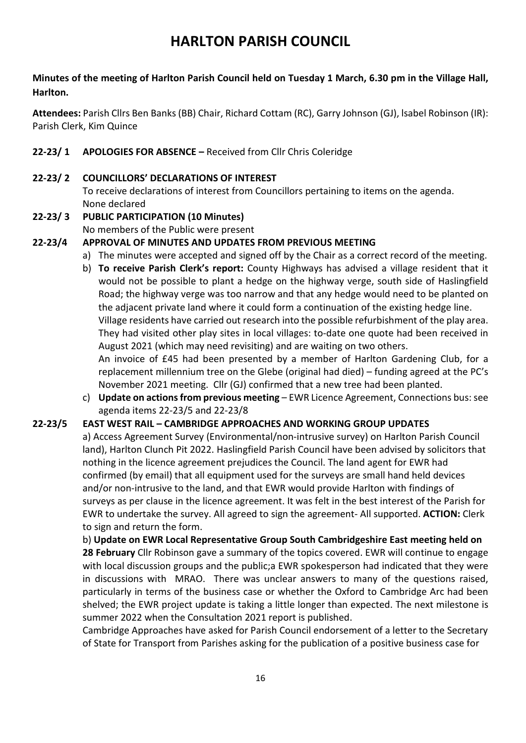# **HARLTON PARISH COUNCIL**

## **Minutes of the meeting of Harlton Parish Council held on Tuesday 1 March, 6.30 pm in the Village Hall, Harlton.**

**Attendees:** Parish Cllrs Ben Banks (BB) Chair, Richard Cottam (RC), Garry Johnson (GJ), lsabel Robinson (IR): Parish Clerk, Kim Quince

## **22-23/ 1 APOLOGIES FOR ABSENCE –** Received from Cllr Chris Coleridge

#### **22-23/ 2 COUNCILLORS' DECLARATIONS OF INTEREST**

To receive declarations of interest from Councillors pertaining to items on the agenda. None declared

#### **22-23/ 3 PUBLIC PARTICIPATION (10 Minutes)**

No members of the Public were present

#### **22-23/4 APPROVAL OF MINUTES AND UPDATES FROM PREVIOUS MEETING**

- a) The minutes were accepted and signed off by the Chair as a correct record of the meeting.
- b) **To receive Parish Clerk's report:** County Highways has advised a village resident that it would not be possible to plant a hedge on the highway verge, south side of Haslingfield Road; the highway verge was too narrow and that any hedge would need to be planted on the adjacent private land where it could form a continuation of the existing hedge line. Village residents have carried out research into the possible refurbishment of the play area. They had visited other play sites in local villages: to-date one quote had been received in August 2021 (which may need revisiting) and are waiting on two others. An invoice of £45 had been presented by a member of Harlton Gardening Club, for a replacement millennium tree on the Glebe (original had died) – funding agreed at the PC's November 2021 meeting. Cllr (GJ) confirmed that a new tree had been planted.
- c) **Update on actions from previous meeting** EWR Licence Agreement, Connections bus: see agenda items 22-23/5 and 22-23/8

#### **22-23/5 EAST WEST RAIL – CAMBRIDGE APPROACHES AND WORKING GROUP UPDATES**

a) Access Agreement Survey (Environmental/non-intrusive survey) on Harlton Parish Council land), Harlton Clunch Pit 2022. Haslingfield Parish Council have been advised by solicitors that nothing in the licence agreement prejudices the Council. The land agent for EWR had confirmed (by email) that all equipment used for the surveys are small hand held devices and/or non-intrusive to the land, and that EWR would provide Harlton with findings of surveys as per clause in the licence agreement. It was felt in the best interest of the Parish for EWR to undertake the survey. All agreed to sign the agreement- All supported. **ACTION:** Clerk to sign and return the form.

b) **Update on EWR Local Representative Group South Cambridgeshire East meeting held on** 

**28 February** Cllr Robinson gave a summary of the topics covered. EWR will continue to engage with local discussion groups and the public;a EWR spokesperson had indicated that they were in discussions with MRAO. There was unclear answers to many of the questions raised, particularly in terms of the business case or whether the Oxford to Cambridge Arc had been shelved; the EWR project update is taking a little longer than expected. The next milestone is summer 2022 when the Consultation 2021 report is published.

Cambridge Approaches have asked for Parish Council endorsement of a letter to the Secretary of State for Transport from Parishes asking for the publication of a positive business case for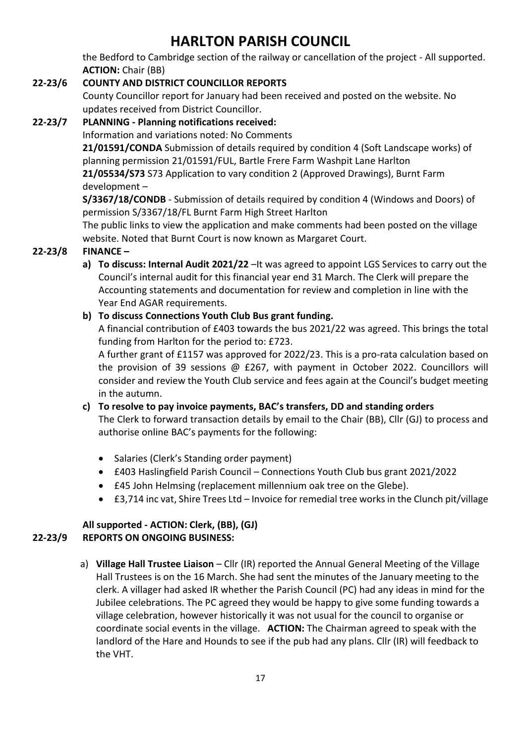# **HARLTON PARISH COUNCIL**

the Bedford to Cambridge section of the railway or cancellation of the project - All supported. **ACTION:** Chair (BB)

## **22-23/6 COUNTY AND DISTRICT COUNCILLOR REPORTS**

County Councillor report for January had been received and posted on the website. No updates received from District Councillor.

## **22-23/7 PLANNING - Planning notifications received:**

### Information and variations noted: No Comments

**21/01591/CONDA** Submission of details required by condition 4 (Soft Landscape works) of planning permission 21/01591/FUL, Bartle Frere Farm Washpit Lane Harlton

**21/05534/S73** S73 Application to vary condition 2 (Approved Drawings), Burnt Farm development –

**S/3367/18/CONDB** - Submission of details required by condition 4 (Windows and Doors) of permission S/3367/18/FL Burnt Farm High Street Harlton

The public links to view the application and make comments had been posted on the village website. Noted that Burnt Court is now known as Margaret Court.

## **22-23/8 FINANCE –**

**a) To discuss: Internal Audit 2021/22** –It was agreed to appoint LGS Services to carry out the Council's internal audit for this financial year end 31 March. The Clerk will prepare the Accounting statements and documentation for review and completion in line with the Year End AGAR requirements.

## **b) To discuss Connections Youth Club Bus grant funding.**

A financial contribution of £403 towards the bus 2021/22 was agreed. This brings the total funding from Harlton for the period to: £723.

A further grant of £1157 was approved for 2022/23. This is a pro-rata calculation based on the provision of 39 sessions @ £267, with payment in October 2022. Councillors will consider and review the Youth Club service and fees again at the Council's budget meeting in the autumn.

#### **c) To resolve to pay invoice payments, BAC's transfers, DD and standing orders** The Clerk to forward transaction details by email to the Chair (BB), Cllr (GJ) to process and authorise online BAC's payments for the following:

- Salaries (Clerk's Standing order payment)
- £403 Haslingfield Parish Council Connections Youth Club bus grant 2021/2022
- £45 John Helmsing (replacement millennium oak tree on the Glebe).
- £3,714 inc vat, Shire Trees Ltd Invoice for remedial tree works in the Clunch pit/village

#### **All supported - ACTION: Clerk, (BB), (GJ) 22-23/9 REPORTS ON ONGOING BUSINESS:**

a) Village Hall Trustee Liaison - Cllr (IR) reported the Annual General Meeting of the Village Hall Trustees is on the 16 March. She had sent the minutes of the January meeting to the clerk. A villager had asked IR whether the Parish Council (PC) had any ideas in mind for the Jubilee celebrations. The PC agreed they would be happy to give some funding towards a village celebration, however historically it was not usual for the council to organise or coordinate social events in the village. **ACTION:** The Chairman agreed to speak with the landlord of the Hare and Hounds to see if the pub had any plans. Cllr (IR) will feedback to the VHT.